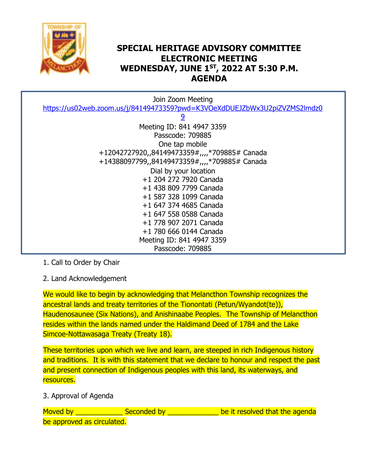

## **SPECIAL HERITAGE ADVISORY COMMITTEE ELECTRONIC MEETING WEDNESDAY, JUNE 1 ST, 2022 AT 5:30 P.M. AGENDA**

| Join Zoom Meeting                                                         |
|---------------------------------------------------------------------------|
| https://us02web.zoom.us/j/84149473359?pwd=K3VOeXdDUEJZbWx3U2piZVZMS2lmdz0 |
| <u>و</u>                                                                  |
| Meeting ID: 841 4947 3359                                                 |
| Passcode: 709885                                                          |
| One tap mobile                                                            |
| +12042727920,,84149473359#,,,,*709885# Canada                             |
| +14388097799,,84149473359#,,,,*709885# Canada                             |
| Dial by your location                                                     |
| +1 204 272 7920 Canada                                                    |
| +1 438 809 7799 Canada                                                    |
| +1 587 328 1099 Canada                                                    |
| +1 647 374 4685 Canada                                                    |
| +1 647 558 0588 Canada                                                    |
| +1 778 907 2071 Canada                                                    |
| +1 780 666 0144 Canada                                                    |
| Meeting ID: 841 4947 3359                                                 |
| Passcode: 709885                                                          |

1. Call to Order by Chair

2. Land Acknowledgement

We would like to begin by acknowledging that Melancthon Township recognizes the ancestral lands and treaty territories of the Tionontati (Petun/Wyandot(te)), Haudenosaunee (Six Nations), and Anishinaabe Peoples. The Township of Melancthon resides within the lands named under the Haldimand Deed of 1784 and the Lake Simcoe-Nottawasaga Treaty (Treaty 18).

These territories upon which we live and learn, are steeped in rich Indigenous history and traditions. It is with this statement that we declare to honour and respect the past and present connection of Indigenous peoples with this land, its waterways, and resources.

3. Approval of Agenda

Moved by **Example 3** Seconded by **Example 2** be it resolved that the agenda be approved as circulated.